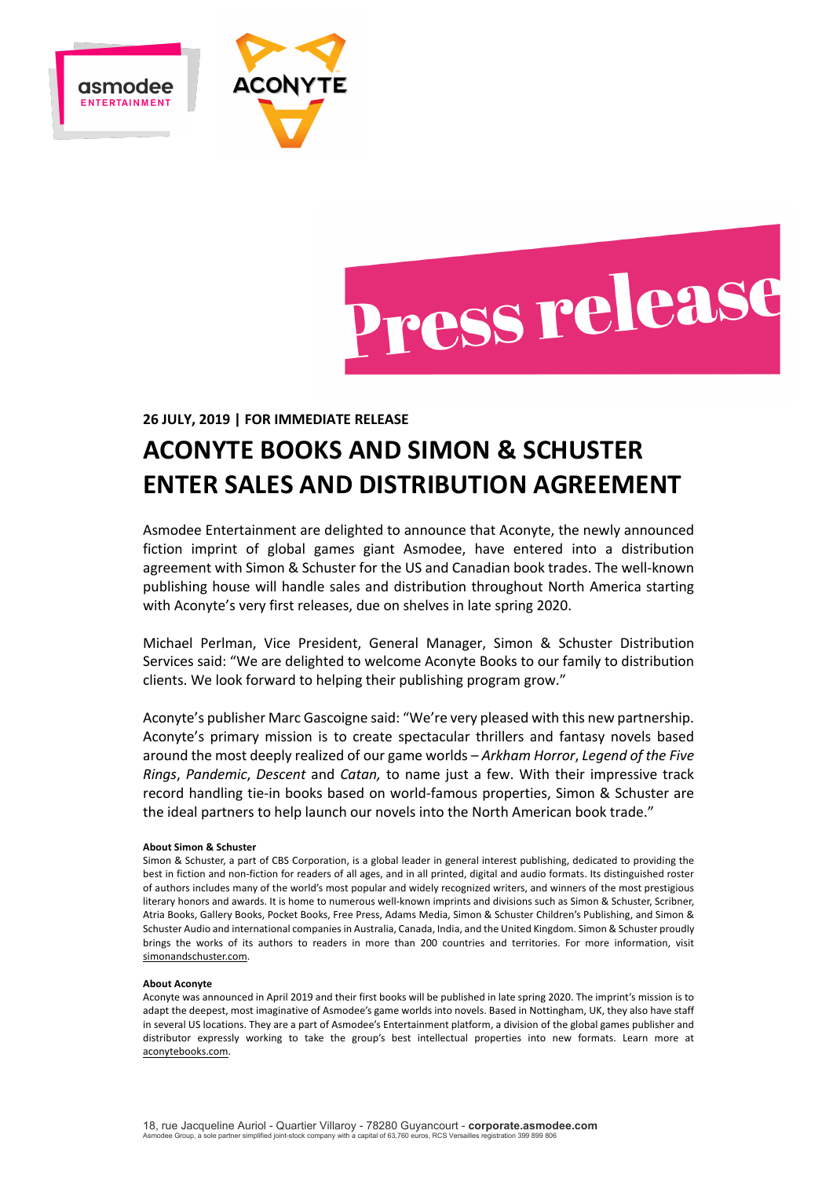



**26 JULY, 2019 | FOR IMMEDIATE RELEASE**

# **ACONYTE BOOKS AND SIMON & SCHUSTER ENTER SALES AND DISTRIBUTION AGREEMENT**

Asmodee Entertainment are delighted to announce that Aconyte, the newly announced fiction imprint of global games giant Asmodee, have entered into a distribution agreement with Simon & Schuster for the US and Canadian book trades. The well-known publishing house will handle sales and distribution throughout North America starting with Aconyte's very first releases, due on shelves in late spring 2020.

Michael Perlman, Vice President, General Manager, Simon & Schuster Distribution Services said: "We are delighted to welcome Aconyte Books to our family to distribution clients. We look forward to helping their publishing program grow."

Aconyte's publisher Marc Gascoigne said: "We're very pleased with this new partnership. Aconyte's primary mission is to create spectacular thrillers and fantasy novels based around the most deeply realized of our game worlds – *Arkham Horror*, *Legend of the Five Rings*, *Pandemic*, *Descent* and *Catan,* to name just a few. With their impressive track record handling tie-in books based on world-famous properties, Simon & Schuster are the ideal partners to help launch our novels into the North American book trade."

#### **About Simon & Schuster**

Simon & Schuster, a part of CBS Corporation, is a global leader in general interest publishing, dedicated to providing the best in fiction and non-fiction for readers of all ages, and in all printed, digital and audio formats. Its distinguished roster of authors includes many of the world's most popular and widely recognized writers, and winners of the most prestigious literary honors and awards. It is home to numerous well-known imprints and divisions such as Simon & Schuster, Scribner, Atria Books, Gallery Books, Pocket Books, Free Press, Adams Media, Simon & Schuster Children's Publishing, and Simon & Schuster Audio and international companies in Australia, Canada, India, and the United Kingdom. Simon & Schuster proudly brings the works of its authors to readers in more than 200 countries and territories. For more information, visit simonandschuster.com.

#### **About Aconyte**

Aconyte was announced in April 2019 and their first books will be published in late spring 2020. The imprint's mission is to adapt the deepest, most imaginative of Asmodee's game worlds into novels. Based in Nottingham, UK, they also have staff in several US locations. They are a part of Asmodee's Entertainment platform, a division of the global games publisher and distributor expressly working to take the group's best intellectual properties into new formats. Learn more at aconytebooks.com.